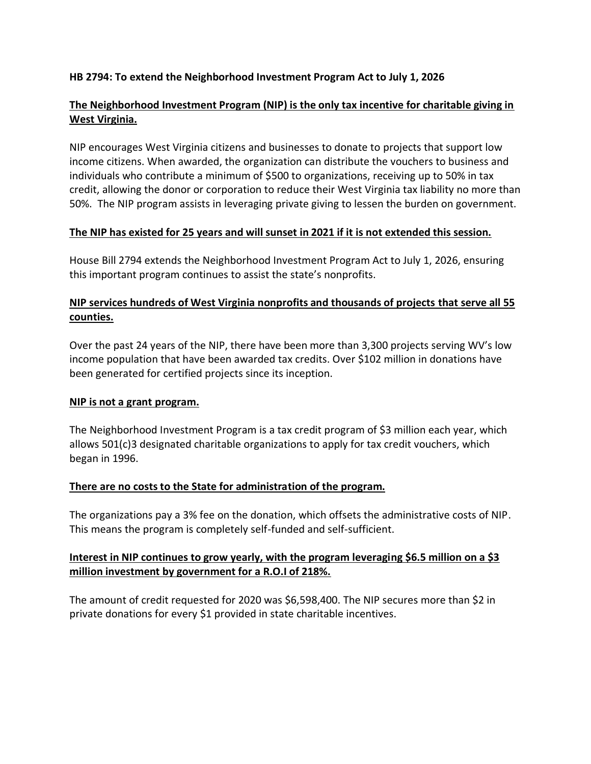### **HB 2794: To extend the Neighborhood Investment Program Act to July 1, 2026**

# **The Neighborhood Investment Program (NIP) is the only tax incentive for charitable giving in West Virginia.**

NIP encourages West Virginia citizens and businesses to donate to projects that support low income citizens. When awarded, the organization can distribute the vouchers to business and individuals who contribute a minimum of \$500 to organizations, receiving up to 50% in tax credit, allowing the donor or corporation to reduce their West Virginia tax liability no more than 50%. The NIP program assists in leveraging private giving to lessen the burden on government.

### **The NIP has existed for 25 years and will sunset in 2021 if it is not extended this session.**

House Bill 2794 extends the Neighborhood Investment Program Act to July 1, 2026, ensuring this important program continues to assist the state's nonprofits.

# **NIP services hundreds of West Virginia nonprofits and thousands of projects that serve all 55 counties.**

Over the past 24 years of the NIP, there have been more than 3,300 projects serving WV's low income population that have been awarded tax credits. Over \$102 million in donations have been generated for certified projects since its inception.

### **NIP is not a grant program.**

The Neighborhood Investment Program is a tax credit program of \$3 million each year, which allows 501(c)3 designated charitable organizations to apply for tax credit vouchers, which began in 1996.

### **There are no costs to the State for administration of the program.**

The organizations pay a 3% fee on the donation, which offsets the administrative costs of NIP. This means the program is completely self-funded and self-sufficient.

### **Interest in NIP continues to grow yearly, with the program leveraging \$6.5 million on a \$3 million investment by government for a R.O.I of 218%.**

The amount of credit requested for 2020 was \$6,598,400. The NIP secures more than \$2 in private donations for every \$1 provided in state charitable incentives.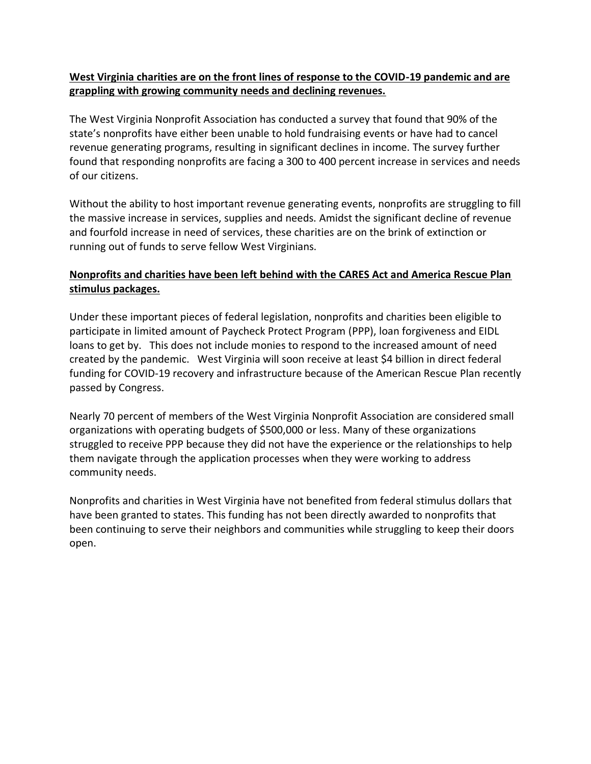# **West Virginia charities are on the front lines of response to the COVID-19 pandemic and are grappling with growing community needs and declining revenues.**

The West Virginia Nonprofit Association has conducted a survey that found that 90% of the state's nonprofits have either been unable to hold fundraising events or have had to cancel revenue generating programs, resulting in significant declines in income. The survey further found that responding nonprofits are facing a 300 to 400 percent increase in services and needs of our citizens.

Without the ability to host important revenue generating events, nonprofits are struggling to fill the massive increase in services, supplies and needs. Amidst the significant decline of revenue and fourfold increase in need of services, these charities are on the brink of extinction or running out of funds to serve fellow West Virginians.

# **Nonprofits and charities have been left behind with the CARES Act and America Rescue Plan stimulus packages.**

Under these important pieces of federal legislation, nonprofits and charities been eligible to participate in limited amount of Paycheck Protect Program (PPP), loan forgiveness and EIDL loans to get by. This does not include monies to respond to the increased amount of need created by the pandemic. West Virginia will soon receive at least \$4 billion in direct federal funding for COVID-19 recovery and infrastructure because of the American Rescue Plan recently passed by Congress.

Nearly 70 percent of members of the West Virginia Nonprofit Association are considered small organizations with operating budgets of \$500,000 or less. Many of these organizations struggled to receive PPP because they did not have the experience or the relationships to help them navigate through the application processes when they were working to address community needs.

Nonprofits and charities in West Virginia have not benefited from federal stimulus dollars that have been granted to states. This funding has not been directly awarded to nonprofits that been continuing to serve their neighbors and communities while struggling to keep their doors open.